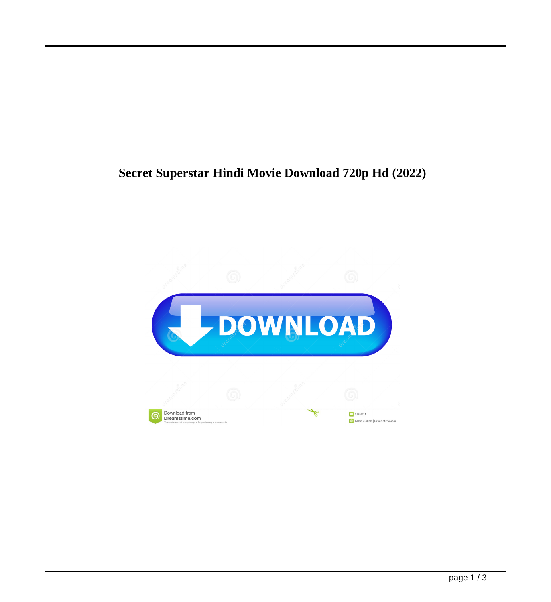## **Secret Superstar Hindi Movie Download 720p Hd (2022)**

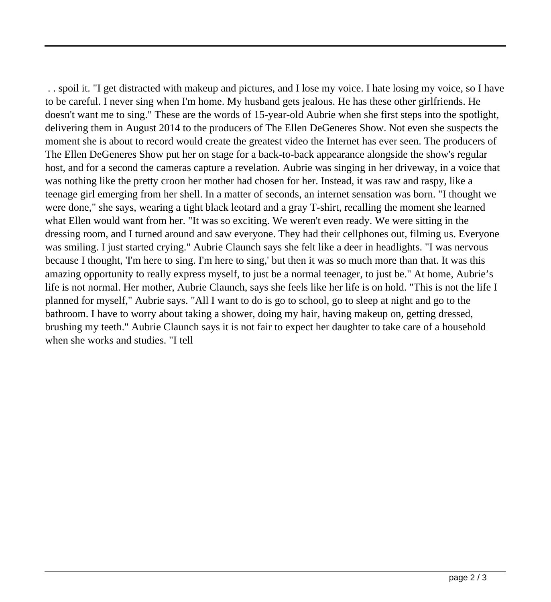. . spoil it. "I get distracted with makeup and pictures, and I lose my voice. I hate losing my voice, so I have to be careful. I never sing when I'm home. My husband gets jealous. He has these other girlfriends. He doesn't want me to sing." These are the words of 15-year-old Aubrie when she first steps into the spotlight, delivering them in August 2014 to the producers of The Ellen DeGeneres Show. Not even she suspects the moment she is about to record would create the greatest video the Internet has ever seen. The producers of The Ellen DeGeneres Show put her on stage for a back-to-back appearance alongside the show's regular host, and for a second the cameras capture a revelation. Aubrie was singing in her driveway, in a voice that was nothing like the pretty croon her mother had chosen for her. Instead, it was raw and raspy, like a teenage girl emerging from her shell. In a matter of seconds, an internet sensation was born. "I thought we were done," she says, wearing a tight black leotard and a gray T-shirt, recalling the moment she learned what Ellen would want from her. "It was so exciting. We weren't even ready. We were sitting in the dressing room, and I turned around and saw everyone. They had their cellphones out, filming us. Everyone was smiling. I just started crying." Aubrie Claunch says she felt like a deer in headlights. "I was nervous because I thought, 'I'm here to sing. I'm here to sing,' but then it was so much more than that. It was this amazing opportunity to really express myself, to just be a normal teenager, to just be." At home, Aubrie's life is not normal. Her mother, Aubrie Claunch, says she feels like her life is on hold. "This is not the life I planned for myself," Aubrie says. "All I want to do is go to school, go to sleep at night and go to the bathroom. I have to worry about taking a shower, doing my hair, having makeup on, getting dressed, brushing my teeth." Aubrie Claunch says it is not fair to expect her daughter to take care of a household when she works and studies. "I tell